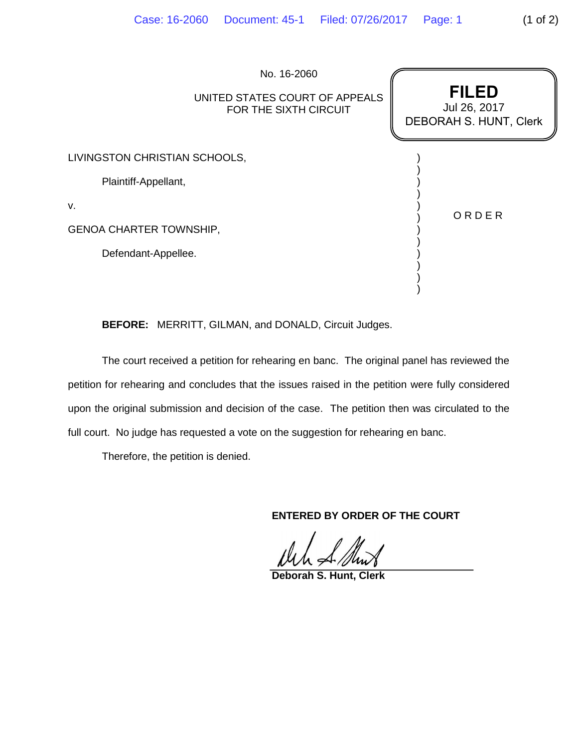|                                | No. 16-2060<br>UNITED STATES COURT OF APPEALS<br>FOR THE SIXTH CIRCUIT | <b>FILED</b><br>Jul 26, 2017<br>DEBORAH S. HUNT, Clerk |
|--------------------------------|------------------------------------------------------------------------|--------------------------------------------------------|
| LIVINGSTON CHRISTIAN SCHOOLS,  |                                                                        |                                                        |
| Plaintiff-Appellant,           |                                                                        |                                                        |
| v.                             |                                                                        | ORDER                                                  |
| <b>GENOA CHARTER TOWNSHIP,</b> |                                                                        |                                                        |
| Defendant-Appellee.            |                                                                        |                                                        |
|                                |                                                                        |                                                        |

**BEFORE:** MERRITT, GILMAN, and DONALD, Circuit Judges.

The court received a petition for rehearing en banc. The original panel has reviewed the petition for rehearing and concludes that the issues raised in the petition were fully considered upon the original submission and decision of the case. The petition then was circulated to the full court. No judge has requested a vote on the suggestion for rehearing en banc.

Therefore, the petition is denied.

**ENTERED BY ORDER OF THE COURT**

)

**Deborah S. Hunt, Clerk**